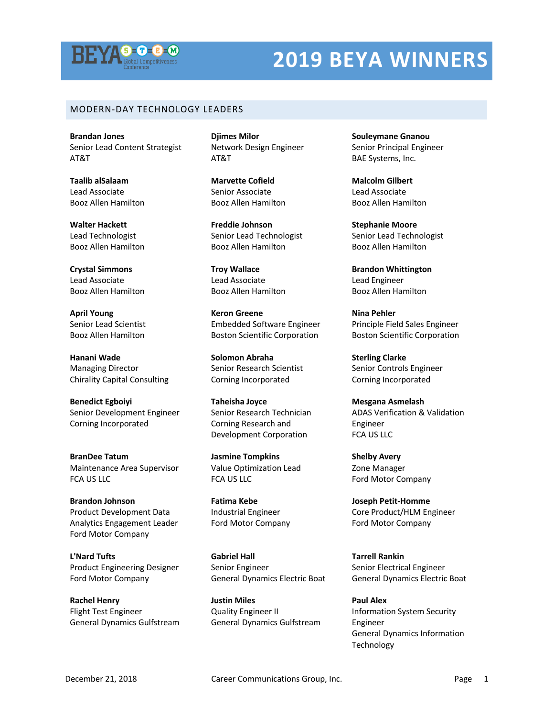

#### MODERN-DAY TECHNOLOGY LEADERS

**Brandan Jones** Senior Lead Content Strategist AT&T

**Taalib alSalaam** Lead Associate Booz Allen Hamilton

**Walter Hackett** Lead Technologist Booz Allen Hamilton

**Crystal Simmons** Lead Associate Booz Allen Hamilton

**April Young** Senior Lead Scientist Booz Allen Hamilton

**Hanani Wade** Managing Director Chirality Capital Consulting

**Benedict Egboiyi** Senior Development Engineer Corning Incorporated

**BranDee Tatum** Maintenance Area Supervisor FCA US LLC

**Brandon Johnson** Product Development Data Analytics Engagement Leader Ford Motor Company

**L'Nard Tufts** Product Engineering Designer Ford Motor Company

**Rachel Henry** Flight Test Engineer General Dynamics Gulfstream

**Djimes Milor** Network Design Engineer AT&T

**Marvette Cofield** Senior Associate Booz Allen Hamilton

**Freddie Johnson** Senior Lead Technologist Booz Allen Hamilton

**Troy Wallace** Lead Associate Booz Allen Hamilton

**Keron Greene** Embedded Software Engineer Boston Scientific Corporation

**Solomon Abraha** Senior Research Scientist Corning Incorporated

**Taheisha Joyce** Senior Research Technician Corning Research and Development Corporation

**Jasmine Tompkins** Value Optimization Lead FCA US LLC

**Fatima Kebe** Industrial Engineer Ford Motor Company

**Gabriel Hall** Senior Engineer General Dynamics Electric Boat

**Justin Miles** Quality Engineer II General Dynamics Gulfstream **Souleymane Gnanou** Senior Principal Engineer BAE Systems, Inc.

**Malcolm Gilbert** Lead Associate Booz Allen Hamilton

**Stephanie Moore** Senior Lead Technologist Booz Allen Hamilton

**Brandon Whittington** Lead Engineer Booz Allen Hamilton

**Nina Pehler** Principle Field Sales Engineer Boston Scientific Corporation

**Sterling Clarke** Senior Controls Engineer Corning Incorporated

**Mesgana Asmelash** ADAS Verification & Validation Engineer FCA US LLC

**Shelby Avery** Zone Manager Ford Motor Company

**Joseph Petit-Homme** Core Product/HLM Engineer Ford Motor Company

**Tarrell Rankin** Senior Electrical Engineer General Dynamics Electric Boat

**Paul Alex** Information System Security Engineer General Dynamics Information Technology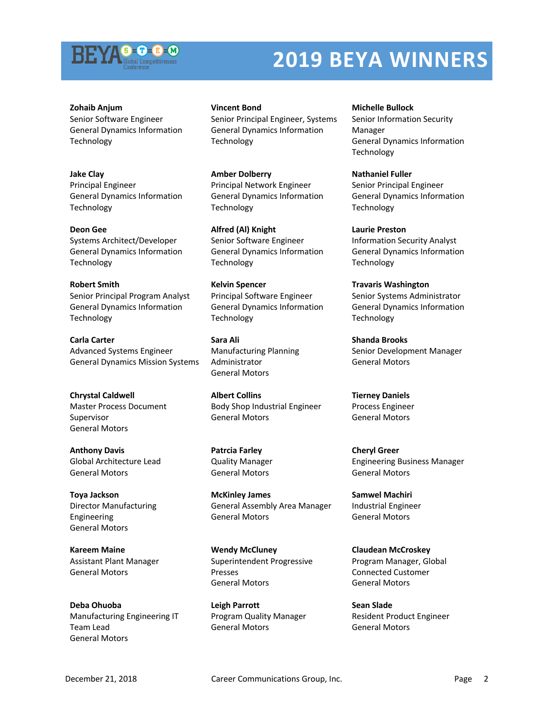

**Zohaib Anjum** Senior Software Engineer General Dynamics Information **Technology** 

**Jake Clay** Principal Engineer General Dynamics Information **Technology** 

**Deon Gee** Systems Architect/Developer General Dynamics Information Technology

**Robert Smith** Senior Principal Program Analyst General Dynamics Information **Technology** 

**Carla Carter** Advanced Systems Engineer General Dynamics Mission Systems

**Chrystal Caldwell** Master Process Document Supervisor General Motors

**Anthony Davis** Global Architecture Lead General Motors

**Toya Jackson** Director Manufacturing Engineering General Motors

**Kareem Maine** Assistant Plant Manager General Motors

**Deba Ohuoba** Manufacturing Engineering IT Team Lead General Motors

#### **Vincent Bond**

Senior Principal Engineer, Systems General Dynamics Information Technology

**Amber Dolberry** Principal Network Engineer General Dynamics Information Technology

**Alfred (Al) Knight** Senior Software Engineer General Dynamics Information Technology

**Kelvin Spencer** Principal Software Engineer General Dynamics Information Technology

**Sara Ali** Manufacturing Planning Administrator General Motors

**Albert Collins** Body Shop Industrial Engineer General Motors

**Patrcia Farley** Quality Manager General Motors

**McKinley James** General Assembly Area Manager General Motors

**Wendy McCluney** Superintendent Progressive Presses General Motors

**Leigh Parrott** Program Quality Manager General Motors

**Michelle Bullock**

Senior Information Security Manager General Dynamics Information Technology

**Nathaniel Fuller** Senior Principal Engineer General Dynamics Information **Technology** 

**Laurie Preston** Information Security Analyst General Dynamics Information Technology

**Travaris Washington** Senior Systems Administrator General Dynamics Information Technology

**Shanda Brooks** Senior Development Manager General Motors

**Tierney Daniels** Process Engineer General Motors

**Cheryl Greer** Engineering Business Manager General Motors

**Samwel Machiri** Industrial Engineer General Motors

**Claudean McCroskey** Program Manager, Global Connected Customer General Motors

**Sean Slade** Resident Product Engineer General Motors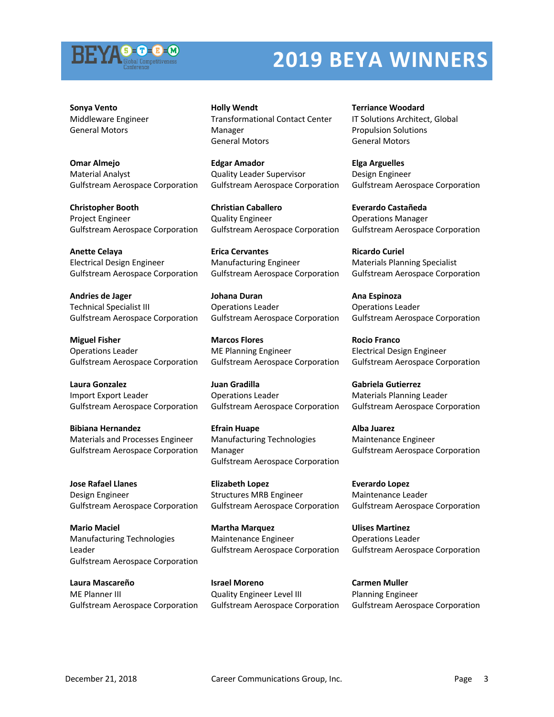

**Sonya Vento** Middleware Engineer General Motors

**Omar Almejo** Material Analyst Gulfstream Aerospace Corporation

**Christopher Booth** Project Engineer Gulfstream Aerospace Corporation

**Anette Celaya** Electrical Design Engineer Gulfstream Aerospace Corporation

**Andries de Jager** Technical Specialist III Gulfstream Aerospace Corporation

**Miguel Fisher** Operations Leader Gulfstream Aerospace Corporation

**Laura Gonzalez** Import Export Leader Gulfstream Aerospace Corporation

**Bibiana Hernandez** Materials and Processes Engineer Gulfstream Aerospace Corporation

**Jose Rafael Llanes** Design Engineer Gulfstream Aerospace Corporation

**Mario Maciel** Manufacturing Technologies Leader Gulfstream Aerospace Corporation

**Laura Mascareño** ME Planner III Gulfstream Aerospace Corporation **Holly Wendt** Transformational Contact Center Manager General Motors

**Edgar Amador** Quality Leader Supervisor Gulfstream Aerospace Corporation

**Christian Caballero** Quality Engineer Gulfstream Aerospace Corporation

**Erica Cervantes** Manufacturing Engineer Gulfstream Aerospace Corporation

**Johana Duran** Operations Leader Gulfstream Aerospace Corporation

**Marcos Flores** ME Planning Engineer Gulfstream Aerospace Corporation

**Juan Gradilla** Operations Leader Gulfstream Aerospace Corporation

**Efrain Huape** Manufacturing Technologies Manager Gulfstream Aerospace Corporation

**Elizabeth Lopez** Structures MRB Engineer Gulfstream Aerospace Corporation

**Martha Marquez** Maintenance Engineer Gulfstream Aerospace Corporation

**Israel Moreno** Quality Engineer Level III Gulfstream Aerospace Corporation

**Terriance Woodard** IT Solutions Architect, Global Propulsion Solutions General Motors

**Elga Arguelles** Design Engineer Gulfstream Aerospace Corporation

**Everardo Castañeda** Operations Manager Gulfstream Aerospace Corporation

**Ricardo Curiel** Materials Planning Specialist Gulfstream Aerospace Corporation

**Ana Espinoza** Operations Leader Gulfstream Aerospace Corporation

**Rocio Franco** Electrical Design Engineer Gulfstream Aerospace Corporation

**Gabriela Gutierrez** Materials Planning Leader Gulfstream Aerospace Corporation

**Alba Juarez** Maintenance Engineer Gulfstream Aerospace Corporation

**Everardo Lopez** Maintenance Leader Gulfstream Aerospace Corporation

**Ulises Martinez** Operations Leader Gulfstream Aerospace Corporation

**Carmen Muller** Planning Engineer Gulfstream Aerospace Corporation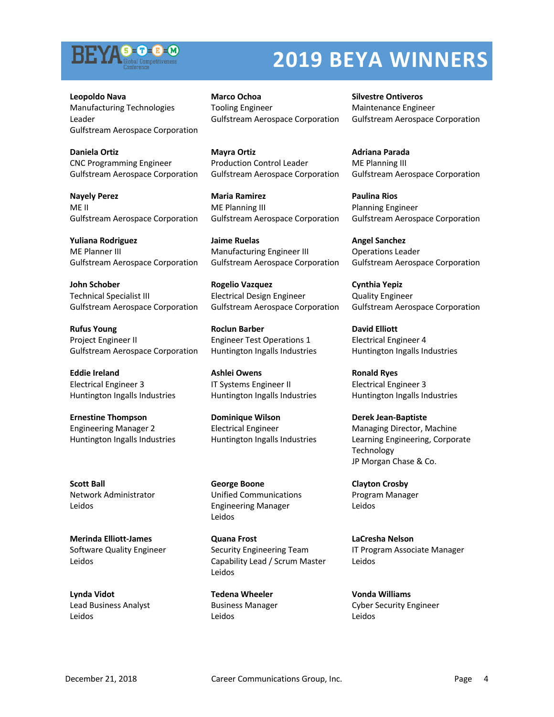

**Leopoldo Nava** Manufacturing Technologies Leader Gulfstream Aerospace Corporation

**Daniela Ortiz** CNC Programming Engineer Gulfstream Aerospace Corporation

**Nayely Perez** ME II Gulfstream Aerospace Corporation

**Yuliana Rodriguez** ME Planner III Gulfstream Aerospace Corporation

**John Schober** Technical Specialist III Gulfstream Aerospace Corporation

**Rufus Young** Project Engineer II Gulfstream Aerospace Corporation

**Eddie Ireland** Electrical Engineer 3 Huntington Ingalls Industries

**Ernestine Thompson** Engineering Manager 2 Huntington Ingalls Industries

**Scott Ball** Network Administrator Leidos

**Merinda Elliott-James** Software Quality Engineer Leidos

**Lynda Vidot** Lead Business Analyst Leidos

**Marco Ochoa** Tooling Engineer Gulfstream Aerospace Corporation

**Mayra Ortiz** Production Control Leader Gulfstream Aerospace Corporation

**Maria Ramirez** ME Planning III Gulfstream Aerospace Corporation

**Jaime Ruelas** Manufacturing Engineer III Gulfstream Aerospace Corporation

**Rogelio Vazquez** Electrical Design Engineer Gulfstream Aerospace Corporation

**Roclun Barber** Engineer Test Operations 1 Huntington Ingalls Industries

**Ashlei Owens** IT Systems Engineer II Huntington Ingalls Industries

**Dominique Wilson** Electrical Engineer Huntington Ingalls Industries

**George Boone** Unified Communications Engineering Manager Leidos

**Quana Frost** Security Engineering Team Capability Lead / Scrum Master Leidos

**Tedena Wheeler** Business Manager Leidos

**Silvestre Ontiveros** Maintenance Engineer Gulfstream Aerospace Corporation

**Adriana Parada** ME Planning III Gulfstream Aerospace Corporation

**Paulina Rios** Planning Engineer Gulfstream Aerospace Corporation

**Angel Sanchez** Operations Leader Gulfstream Aerospace Corporation

**Cynthia Yepiz** Quality Engineer Gulfstream Aerospace Corporation

**David Elliott** Electrical Engineer 4 Huntington Ingalls Industries

**Ronald Ryes** Electrical Engineer 3 Huntington Ingalls Industries

**Derek Jean-Baptiste** Managing Director, Machine Learning Engineering, Corporate Technology JP Morgan Chase & Co.

**Clayton Crosby** Program Manager Leidos

**LaCresha Nelson** IT Program Associate Manager Leidos

**Vonda Williams** Cyber Security Engineer Leidos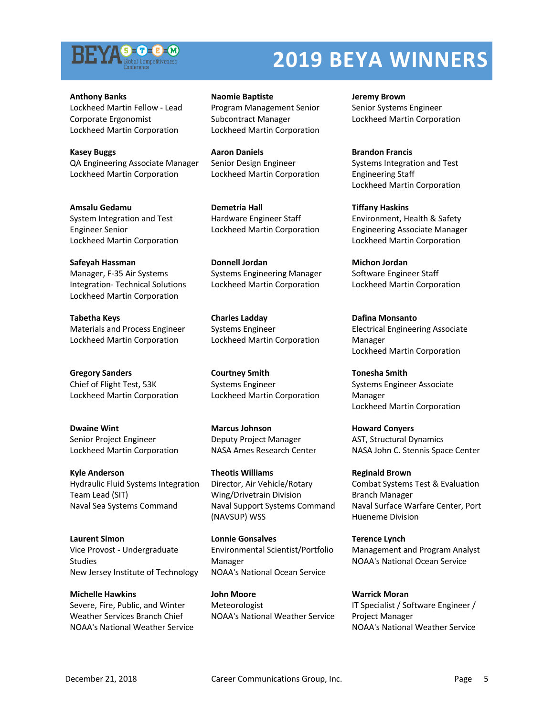

**Anthony Banks** Lockheed Martin Fellow - Lead Corporate Ergonomist Lockheed Martin Corporation

**Kasey Buggs** QA Engineering Associate Manager Lockheed Martin Corporation

**Amsalu Gedamu** System Integration and Test Engineer Senior Lockheed Martin Corporation

**Safeyah Hassman** Manager, F-35 Air Systems Integration- Technical Solutions Lockheed Martin Corporation

**Tabetha Keys** Materials and Process Engineer Lockheed Martin Corporation

**Gregory Sanders** Chief of Flight Test, 53K Lockheed Martin Corporation

**Dwaine Wint** Senior Project Engineer Lockheed Martin Corporation

**Kyle Anderson** Hydraulic Fluid Systems Integration Team Lead (SIT) Naval Sea Systems Command

**Laurent Simon** Vice Provost - Undergraduate Studies New Jersey Institute of Technology

**Michelle Hawkins** Severe, Fire, Public, and Winter Weather Services Branch Chief NOAA's National Weather Service

**Naomie Baptiste** Program Management Senior Subcontract Manager Lockheed Martin Corporation

**Aaron Daniels** Senior Design Engineer Lockheed Martin Corporation

**Demetria Hall** Hardware Engineer Staff Lockheed Martin Corporation

**Donnell Jordan** Systems Engineering Manager Lockheed Martin Corporation

**Charles Ladday** Systems Engineer Lockheed Martin Corporation

**Courtney Smith** Systems Engineer Lockheed Martin Corporation

**Marcus Johnson** Deputy Project Manager NASA Ames Research Center

**Theotis Williams** Director, Air Vehicle/Rotary Wing/Drivetrain Division Naval Support Systems Command (NAVSUP) WSS

**Lonnie Gonsalves** Environmental Scientist/Portfolio Manager NOAA's National Ocean Service

**John Moore** Meteorologist NOAA's National Weather Service **Jeremy Brown** Senior Systems Engineer Lockheed Martin Corporation

**Brandon Francis** Systems Integration and Test Engineering Staff Lockheed Martin Corporation

**Tiffany Haskins** Environment, Health & Safety Engineering Associate Manager Lockheed Martin Corporation

**Michon Jordan** Software Engineer Staff Lockheed Martin Corporation

**Dafina Monsanto** Electrical Engineering Associate Manager Lockheed Martin Corporation

**Tonesha Smith** Systems Engineer Associate Manager Lockheed Martin Corporation

**Howard Conyers** AST, Structural Dynamics NASA John C. Stennis Space Center

**Reginald Brown** Combat Systems Test & Evaluation Branch Manager Naval Surface Warfare Center, Port Hueneme Division

**Terence Lynch** Management and Program Analyst NOAA's National Ocean Service

**Warrick Moran** IT Specialist / Software Engineer / Project Manager NOAA's National Weather Service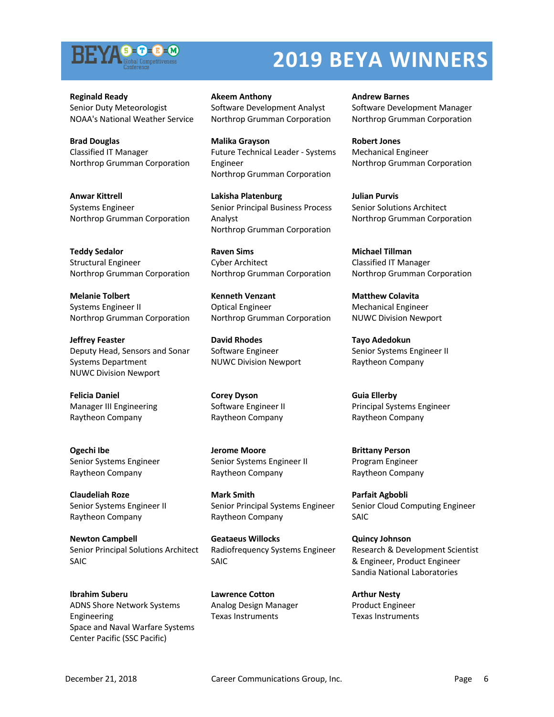

**Reginald Ready** Senior Duty Meteorologist NOAA's National Weather Service

**Brad Douglas** Classified IT Manager Northrop Grumman Corporation

**Anwar Kittrell** Systems Engineer Northrop Grumman Corporation

**Teddy Sedalor** Structural Engineer Northrop Grumman Corporation

**Melanie Tolbert** Systems Engineer II Northrop Grumman Corporation

**Jeffrey Feaster** Deputy Head, Sensors and Sonar Systems Department NUWC Division Newport

**Felicia Daniel** Manager III Engineering Raytheon Company

**Ogechi Ibe** Senior Systems Engineer Raytheon Company

**Claudeliah Roze** Senior Systems Engineer II Raytheon Company

**Newton Campbell** Senior Principal Solutions Architect SAIC

**Ibrahim Suberu** ADNS Shore Network Systems Engineering Space and Naval Warfare Systems Center Pacific (SSC Pacific)

**Akeem Anthony** Software Development Analyst Northrop Grumman Corporation

**Malika Grayson** Future Technical Leader - Systems Engineer Northrop Grumman Corporation

**Lakisha Platenburg** Senior Principal Business Process Analyst Northrop Grumman Corporation

**Raven Sims** Cyber Architect Northrop Grumman Corporation

**Kenneth Venzant** Optical Engineer Northrop Grumman Corporation

**David Rhodes** Software Engineer NUWC Division Newport

**Corey Dyson** Software Engineer II Raytheon Company

**Jerome Moore** Senior Systems Engineer II Raytheon Company

**Mark Smith** Senior Principal Systems Engineer Raytheon Company

**Geataeus Willocks** Radiofrequency Systems Engineer SAIC

**Lawrence Cotton** Analog Design Manager Texas Instruments

**Andrew Barnes** Software Development Manager Northrop Grumman Corporation

**Robert Jones** Mechanical Engineer Northrop Grumman Corporation

**Julian Purvis** Senior Solutions Architect Northrop Grumman Corporation

**Michael Tillman** Classified IT Manager Northrop Grumman Corporation

**Matthew Colavita** Mechanical Engineer NUWC Division Newport

**Tayo Adedokun** Senior Systems Engineer II Raytheon Company

**Guia Ellerby** Principal Systems Engineer Raytheon Company

**Brittany Person** Program Engineer Raytheon Company

**Parfait Agbobli** Senior Cloud Computing Engineer SAIC

**Quincy Johnson** Research & Development Scientist & Engineer, Product Engineer Sandia National Laboratories

**Arthur Nesty** Product Engineer Texas Instruments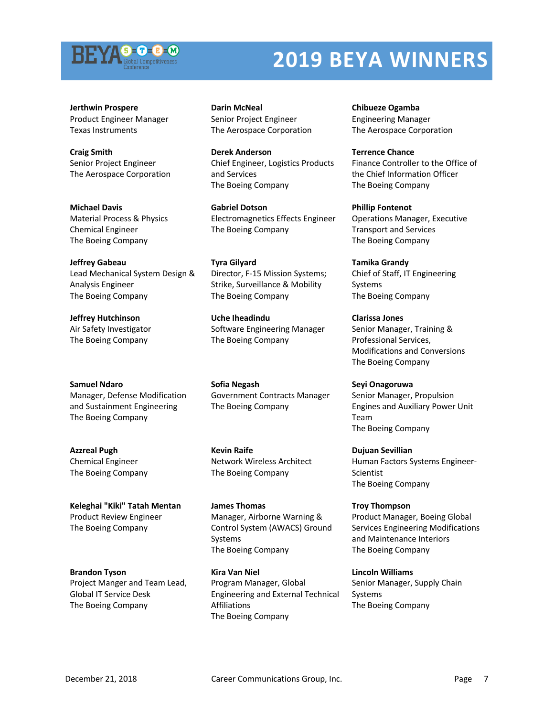

**Jerthwin Prospere** Product Engineer Manager Texas Instruments

**Craig Smith** Senior Project Engineer The Aerospace Corporation

**Michael Davis** Material Process & Physics Chemical Engineer The Boeing Company

**Jeffrey Gabeau** Lead Mechanical System Design & Analysis Engineer The Boeing Company

**Jeffrey Hutchinson** Air Safety Investigator The Boeing Company

#### **Samuel Ndaro**

Manager, Defense Modification and Sustainment Engineering The Boeing Company

**Azzreal Pugh** Chemical Engineer The Boeing Company

**Keleghai "Kiki" Tatah Mentan** Product Review Engineer The Boeing Company

**Brandon Tyson** Project Manger and Team Lead, Global IT Service Desk The Boeing Company

**Darin McNeal** Senior Project Engineer The Aerospace Corporation

**Derek Anderson** Chief Engineer, Logistics Products and Services The Boeing Company

**Gabriel Dotson** Electromagnetics Effects Engineer The Boeing Company

**Tyra Gilyard** Director, F-15 Mission Systems; Strike, Surveillance & Mobility The Boeing Company

**Uche Iheadindu** Software Engineering Manager The Boeing Company

**Sofia Negash** Government Contracts Manager The Boeing Company

**Kevin Raife** Network Wireless Architect The Boeing Company

**James Thomas** Manager, Airborne Warning & Control System (AWACS) Ground Systems The Boeing Company

**Kira Van Niel** Program Manager, Global Engineering and External Technical Affiliations The Boeing Company

**Chibueze Ogamba** Engineering Manager The Aerospace Corporation

**Terrence Chance** Finance Controller to the Office of the Chief Information Officer The Boeing Company

**Phillip Fontenot** Operations Manager, Executive Transport and Services The Boeing Company

**Tamika Grandy** Chief of Staff, IT Engineering Systems The Boeing Company

**Clarissa Jones** Senior Manager, Training & Professional Services, Modifications and Conversions The Boeing Company

**Seyi Onagoruwa** Senior Manager, Propulsion Engines and Auxiliary Power Unit Team The Boeing Company

**Dujuan Sevillian** Human Factors Systems Engineer-Scientist The Boeing Company

**Troy Thompson** Product Manager, Boeing Global Services Engineering Modifications and Maintenance Interiors The Boeing Company

**Lincoln Williams** Senior Manager, Supply Chain Systems The Boeing Company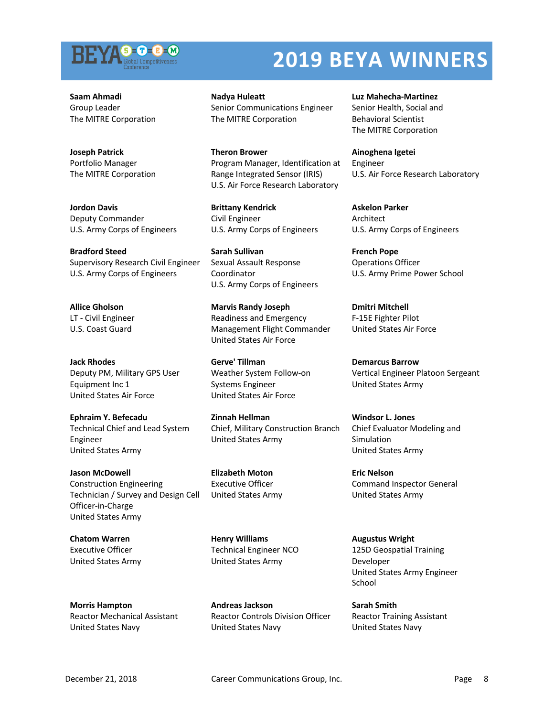

**Saam Ahmadi** Group Leader The MITRE Corporation

**Joseph Patrick** Portfolio Manager The MITRE Corporation

**Jordon Davis** Deputy Commander U.S. Army Corps of Engineers

**Bradford Steed** Supervisory Research Civil Engineer U.S. Army Corps of Engineers

**Allice Gholson** LT - Civil Engineer U.S. Coast Guard

**Jack Rhodes** Deputy PM, Military GPS User Equipment Inc 1 United States Air Force

**Ephraim Y. Befecadu** Technical Chief and Lead System Engineer United States Army

**Jason McDowell** Construction Engineering Technician / Survey and Design Cell Officer-in-Charge United States Army

**Chatom Warren** Executive Officer United States Army

**Morris Hampton** Reactor Mechanical Assistant United States Navy

**Nadya Huleatt** Senior Communications Engineer The MITRE Corporation

**Theron Brower** Program Manager, Identification at Range Integrated Sensor (IRIS) U.S. Air Force Research Laboratory

**Brittany Kendrick** Civil Engineer U.S. Army Corps of Engineers

**Sarah Sullivan** Sexual Assault Response Coordinator U.S. Army Corps of Engineers

**Marvis Randy Joseph** Readiness and Emergency Management Flight Commander United States Air Force

**Gerve' Tillman** Weather System Follow-on Systems Engineer United States Air Force

**Zinnah Hellman** Chief, Military Construction Branch United States Army

**Elizabeth Moton** Executive Officer United States Army

**Henry Williams** Technical Engineer NCO United States Army

**Andreas Jackson** Reactor Controls Division Officer United States Navy

**Luz Mahecha-Martinez** Senior Health, Social and Behavioral Scientist The MITRE Corporation

**Ainoghena Igetei** Engineer U.S. Air Force Research Laboratory

**Askelon Parker** Architect U.S. Army Corps of Engineers

**French Pope** Operations Officer U.S. Army Prime Power School

**Dmitri Mitchell** F-15E Fighter Pilot United States Air Force

**Demarcus Barrow** Vertical Engineer Platoon Sergeant United States Army

**Windsor L. Jones** Chief Evaluator Modeling and Simulation United States Army

**Eric Nelson** Command Inspector General United States Army

**Augustus Wright** 125D Geospatial Training Developer United States Army Engineer School

**Sarah Smith** Reactor Training Assistant United States Navy